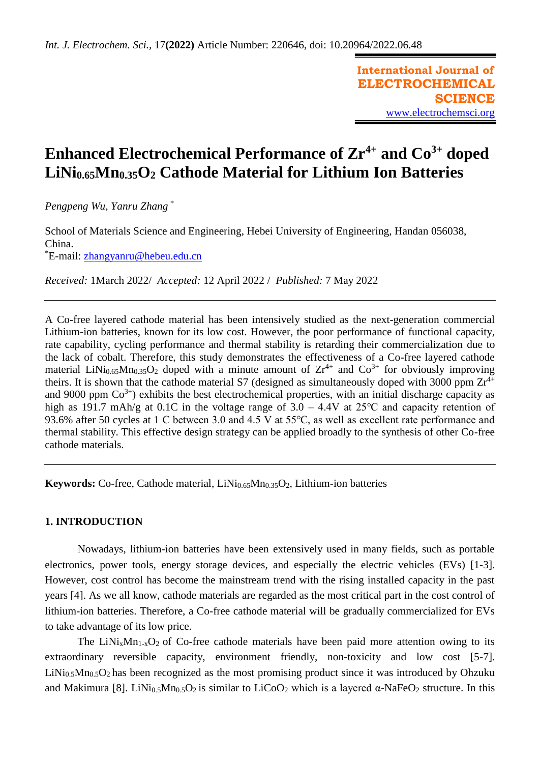**International Journal of ELECTROCHEMICAL SCIENCE** [www.electrochemsci.org](http://www.electrochemsci.org/)

# **Enhanced Electrochemical Performance of Zr4+ and Co3+ doped LiNi0.65Mn0.35O<sup>2</sup> Cathode Material for Lithium Ion Batteries**

*Pengpeng Wu, Yanru Zhang \**

School of Materials Science and Engineering, Hebei University of Engineering, Handan 056038, China. \*E-mail: [zhangyanru@hebeu.edu.cn](mailto:zhangyanru@hebeu.edu.cn)

*Received:* 1March 2022/ *Accepted:* 12 April 2022 / *Published:* 7 May 2022

A Co-free layered cathode material has been intensively studied as the next-generation commercial Lithium-ion batteries, known for its low cost. However, the poor performance of functional capacity, rate capability, cycling performance and thermal stability is retarding their commercialization [due](javascript:;) [to](javascript:;) [the](javascript:;) [lack](javascript:;) [of](javascript:;) cobalt. Therefore, this study demonstrates the effectiveness of a Co-free layered cathode m[a](javascript:;)terial LiNi<sub>0.65</sub>Mn<sub>0.35</sub>O<sub>2</sub> doped with a [minute](javascript:;) [amount](javascript:;) [of](javascript:;)  $Zr^{4+}$  and  $Co^{3+}$  for obviously improving theirs. It is shown that the cathode material S7 (designed as simultaneously doped with 3000 ppm  $Zr^{4+}$ and 9000 ppm  $Co^{3+}$ ) exhibits the best electrochemical properties, with an initial discharge capacity as high as 191.7 mAh/g at 0.1C in the voltage range of 3.0 – 4.4V at 25℃ and capacity retention of 93.6% after 50 cycles at 1 C between 3.0 and 4.5 V at 55℃, as well as excellent rate performance and thermal stability. This effective design strategy can be applied broadly to the synthesis of other Co-free cathode materials.

**Keywords:** Co-free, Cathode material, LiNi<sub>0.65</sub>Mn<sub>0.35</sub>O<sub>2</sub>, Lithium-ion batteries

# **1. INTRODUCTION**

Nowadays, lithium-ion batteries have been extensively used in many fields, such as portable electronics, power tools, energy storage devices, and especially the electric vehicles (EVs) [1-3]. However, cost control has become the mainstream trend with the rising installed capacity in the past years [4]. As we all know, cathode materials are regarded as the most critical part in the cost control of lithium-ion batteries. Therefore, a Co-free cathode material will be gradually commercialized for EVs to take advantage of its low price.

The LiNi<sub>x</sub>Mn<sub>1-x</sub>O<sub>2</sub> of Co-free cathode materials have been paid more attention owing to its extraordinary reversible capacity, [environment](javascript:;) [friendly,](javascript:;) non-toxicity and low cost [5-7].  $LiNi<sub>0.5</sub>Mn<sub>0.5</sub>O<sub>2</sub>$  has been recognized as the most promising product since it was introduced by Ohzuku and Makimura [8]. LiNi<sub>0.5</sub>Mn<sub>0.5</sub>O<sub>2</sub> is similar to LiCoO<sub>2</sub> which is a layered  $\alpha$ -NaFeO<sub>2</sub> structure. In this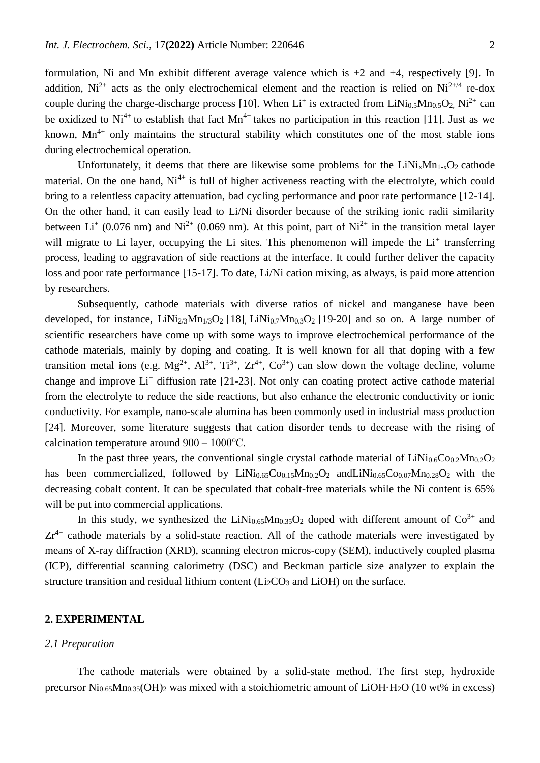formulation, Ni and Mn exhibit different average valence which is +2 and +4, respectively [9]. In addition,  $Ni^{2+}$  acts as the only electrochemical element and the reaction is relied on  $Ni^{2+/4}$  re-dox couple during the charge-discharge process [10]. When  $Li^+$  is extracted from  $LiNi_{0.5}Mn_{0.5}O_2$ ,  $Ni^{2+}$  can be oxidized to  $Ni^{4+}$  to establish that fact  $Mn^{4+}$  takes no participation in this reaction [11]. Just as we known,  $Mn^{4+}$  only maintains the structural stability which constitutes one of the most stable ions during electrochemical operation.

Unfortunately, it deems that there are likewise some problems for the  $LiNi_xMn_{1-x}O_2$  cathode material. On the one hand,  $Ni<sup>4+</sup>$  is full of higher activeness reacting with the electrolyte, which could bring to a relentless capacity attenuation, bad cycling performance and poor rate performance [12-14]. On the other hand, it can easily lead to Li/Ni disorder because of the striking ionic radii similarity between Li<sup>+</sup> (0.076 nm) and Ni<sup>2+</sup> (0.069 nm). At this point, part of Ni<sup>2+</sup> in the transition metal layer will migrate to Li layer, occupying the Li sites. This phenomenon will impede the Li<sup>+</sup> transferring process, leading to aggravation of side reactions at the interface. It could further deliver the capacity loss and poor rate performance [15-17]. To date, Li/Ni cation mixing, as always, is paid more attention by researchers.

Subsequently, cathode materials with diverse ratios of nickel and manganese have been developed, for instance,  $LiNi<sub>2/3</sub>Mn<sub>1/3</sub>O<sub>2</sub>$  [18],  $LiNi<sub>0.7</sub>Mn<sub>0.3</sub>O<sub>2</sub>$  [19-20] and so on. A large number of scientific researchers have come up with some ways to improve electrochemical performance of the cathode materials, mainly by doping and coating. [It](javascript:;) [is](javascript:;) well [known](javascript:;) for [all](javascript:;) [that](javascript:;) doping with a few transition metal ions (e.g.  $Mg^{2+}$ ,  $Al^{3+}$ ,  $Ti^{3+}$ ,  $Zr^{4+}$ ,  $Co^{3+}$ ) can slow down the voltage decline, volume change and improve Li<sup>+</sup> diffusion rate [21-23]. Not only can coating protect active cathode material from the electrolyte to reduce the side reactions, but also enhance the electronic conductivity or ionic conductivity. For example, nano-scale alumina has been commonly used in industrial mass production [24]. Moreover, some literature suggests that cation disorder tends to decrease with the rising of calcination temperature around 900 – 1000℃.

In the past three years, the conventional single crystal cathode material of  $LiNi<sub>0.6</sub>Co<sub>0.2</sub>Mn<sub>0.2</sub>O<sub>2</sub>$ has been commercialized, followed by  $LiNi<sub>0.65</sub>Co<sub>0.15</sub>Mn<sub>0.2</sub>O<sub>2</sub> and LiNi<sub>0.65</sub>Co<sub>0.07</sub>Mn<sub>0.28</sub>O<sub>2</sub> with the$ decreasing cobalt content. It can be speculated that cobalt-free materials while the Ni content is 65% will be put into commercial applications.

In this study, we synthesized the LiNi<sub>0.65</sub>Mn<sub>0.35</sub>O<sub>2</sub> doped with different amount of  $Co^{3+}$  and  $Zr^{4+}$  cathode materials by a solid-state reaction. All of the cathode materials were investigated by means of X-ray diffraction (XRD), scanning electron micros-copy (SEM), inductively coupled plasma (ICP), [differential](javascript:;) [scanning](javascript:;) [calorimetry](javascript:;) (DSC) and Beckman particle size analyzer to explain the structure transition and residual lithium content  $(Li<sub>2</sub>CO<sub>3</sub>$  and  $LiOH$ ) on the surface.

#### **2. EXPERIMENTAL**

#### *2.1 Preparation*

The cathode materials were obtained by a [solid-state](javascript:;) [method.](javascript:;) The first step, hydroxide precursor  $\text{Ni}_{0.65}\text{Mn}_{0.35}(\text{OH})_2$  was mixed with a stoichiometric amount of LiOH·H<sub>2</sub>O (10 wt% in excess)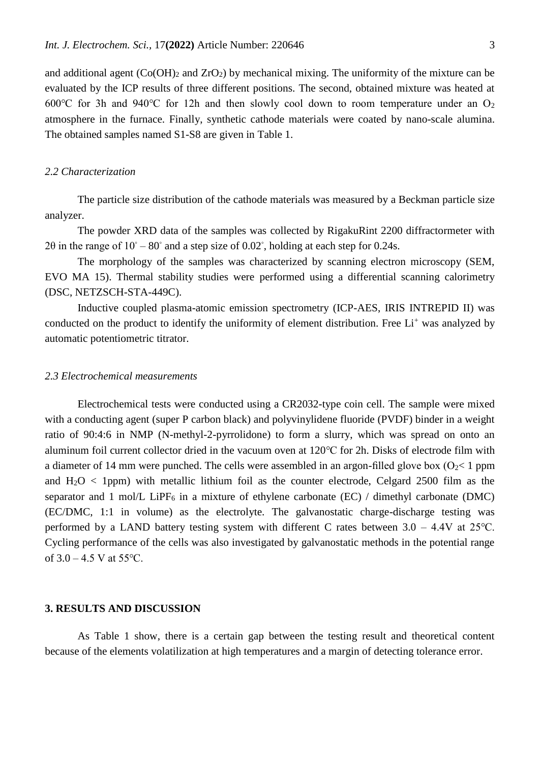and additional agent  $(Co(OH)_2$  and  $ZrO_2$ ) by [mechanical](javascript:;) [mixing.](javascript:;) The uniformity of the mixture can be evaluated by the ICP results of three different positions. The second, obtained mixture was heated at 600 °C for 3h and 940 °C for 12h and then slowly cool down to room temperature under an  $O_2$ atmosphere in the furnace. Finally, synthetic cathode materials were coated by nano-scale alumina. The obtained samples named S1-S8 are given in Table 1.

## *2.2 Characterization*

The particle size distribution of the cathode materials was measured by a Beckman particle size analyzer.

The powder XRD data of the samples was collected by RigakuRint 2200 diffractormeter with 2 $\theta$  in the range of  $10° - 80°$  and a step size of 0.02°, holding at each step for 0.24s.

The morphology of the samples was characterized by scanning electron microscopy (SEM, EVO MA 15). Thermal stability studies were performed using a differential scanning calorimetry (DSC, NETZSCH-STA-449C).

Inductive coupled plasma-atomic emission spectrometry (ICP-AES, IRIS INTREPID II) was conducted on the product to identify the uniformity of element distribution. Free Li<sup>+</sup> was analyzed by automatic [potentiometric](javascript:;) [titrator.](javascript:;)

## *2.3 Electrochemical measurements*

Electrochemical tests were conducted using a CR2032-type coin cell. The sample were mixed with a conducting agent (super P carbon black) and polyvinylidene fluoride (PVDF) binder in a weight ratio of 90:4:6 in NMP (N-methyl-2-pyrrolidone) to form a slurry, which was spread on onto an aluminum foil current collector dried in the vacuum oven at 120℃ for 2h. Disks of electrode film with a diameter of 14 mm were punched. The cells were assembled in an argon-filled glove box  $(O<sub>2</sub>< 1$  ppm and  $H_2O < 1$  ppm) with metallic lithium foil as the counter electrode, Celgard 2500 film as the separator and 1 mol/L LiPF<sub>6</sub> in a mixture of ethylene carbonate (EC) / dimethyl carbonate (DMC) (EC/DMC, 1:1 in volume) as the electrolyte. The galvanostatic charge-discharge testing was performed by a LAND battery testing system with different C rates between 3.0 – 4.4V at 25℃. Cycling performance of the cells was also investigated by galvanostatic methods in the potential range of 3.0 – 4.5 V at 55℃.

#### **3. RESULTS AND DISCUSSION**

As Table 1 show, there is a certain gap between the testing result and theoretical content because of the elements volatilization at high temperatures and a margin of detecting tolerance error.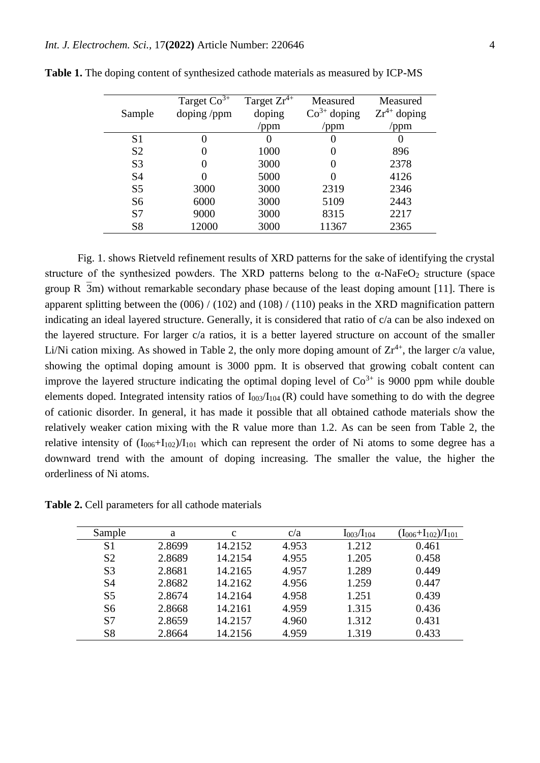|                | Target $Co^{3+}$ | Target $Zr^{4+}$ | Measured      | Measured         |
|----------------|------------------|------------------|---------------|------------------|
| Sample         | doping/ppm       | doping           | $Co3+$ doping | $Zr^{4+}$ doping |
|                |                  | 'ppm             | 'ppm          | ppm              |
| S <sub>1</sub> |                  |                  |               |                  |
| S <sub>2</sub> |                  | 1000             | 0             | 896              |
| S <sub>3</sub> |                  | 3000             | 0             | 2378             |
| S <sub>4</sub> |                  | 5000             | $\theta$      | 4126             |
| S <sub>5</sub> | 3000             | 3000             | 2319          | 2346             |
| S <sub>6</sub> | 6000             | 3000             | 5109          | 2443             |
| S7             | 9000             | 3000             | 8315          | 2217             |
| S <sub>8</sub> | 12000            | 3000             | 11367         | 2365             |

**Table 1.** The doping content of synthesized cathode materials as measured by ICP-MS

Fig. 1. shows Rietveld refinement results of XRD patterns for the sake of identifying the crystal structure of the synthesized powders. The XRD patterns belong to the  $\alpha$ -NaFeO<sub>2</sub> structure (space group R $\overline{3}$ m) without remarkable secondary phase because of the least [doping](javascript:;) [amount](javascript:;) [11]. There is apparent splitting between the  $(006) / (102)$  and  $(108) / (110)$  peaks in the XRD magnification pattern indicating an ideal layered structure. Generally, it is considered that ratio of c/a can be also indexed on the layered structure. For larger c/a ratios, it is a better layered structure on account of the smaller Li/Ni cation mixing. As showed in Table 2, the only more doping amount of  $Zr^{4+}$ , the larger c/a value, showing the optimal doping amount is 3000 ppm. It is observed that growing cobalt content can improve the layered structure indicating the optimal doping level of  $Co<sup>3+</sup>$  is 9000 ppm while double elements doped. Integrated intensity ratios of  $I_{003}/I_{104}$  (R) could have something to do with the degree of cationic disorder. In general, it has made it possible that all obtained cathode materials show the relatively weaker cation mixing with the R value more than 1.2. As can be seen from Table 2, the relative intensity of  $(I_{006}+I_{102})/I_{101}$  which can represent the order of Ni atoms to some degree has a downward trend with the amount of doping increasing. The smaller the value, the higher the orderliness of Ni atoms.

**Table 2.** Cell parameters for all cathode materials

| Sample         | a      | c       | c/a   | I <sub>003</sub> /I <sub>104</sub> | $(I_{006} + I_{102})/I_{101}$ |
|----------------|--------|---------|-------|------------------------------------|-------------------------------|
| S <sub>1</sub> | 2.8699 | 14.2152 | 4.953 | 1.212                              | 0.461                         |
| S <sub>2</sub> | 2.8689 | 14.2154 | 4.955 | 1.205                              | 0.458                         |
| S <sub>3</sub> | 2.8681 | 14.2165 | 4.957 | 1.289                              | 0.449                         |
| S <sub>4</sub> | 2.8682 | 14.2162 | 4.956 | 1.259                              | 0.447                         |
| S <sub>5</sub> | 2.8674 | 14.2164 | 4.958 | 1.251                              | 0.439                         |
| S <sub>6</sub> | 2.8668 | 14.2161 | 4.959 | 1.315                              | 0.436                         |
| S7             | 2.8659 | 14.2157 | 4.960 | 1.312                              | 0.431                         |
| S <sub>8</sub> | 2.8664 | 14.2156 | 4.959 | 1.319                              | 0.433                         |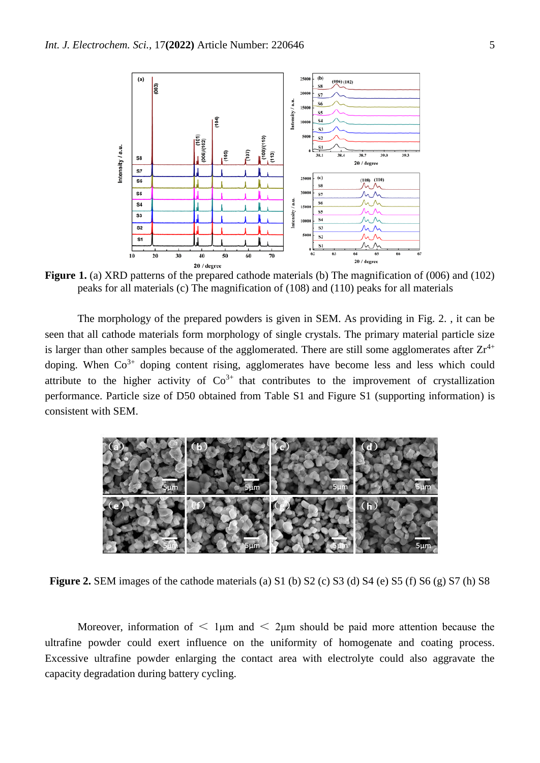

**Figure 1.** (a) XRD patterns of the prepared cathode materials (b) The magnification of (006) and (102) peaks for all materials (c) The magnification of (108) and (110) peaks for all materials

The morphology of the prepared powders is given in SEM. As providing in Fig. 2. , it can be seen that all cathode materials form morphology of single crystals. The primary material particle size is larger than other samples because of the agglomerated. There are still some agglomerates after  $Zr^{4+}$ doping. When  $Co<sup>3+</sup>$  doping content rising, agglomerates have become less and less which could attribute to the higher activity of  $Co^{3+}$  that contributes to the improvement of crystallization performance. Particle size of D50 obtained from Table S1 and Figure S1 (supporting information) is consistent with SEM.



**Figure 2.** SEM images of the cathode materials (a) S1 (b) S2 (c) S3 (d) S4 (e) S5 (f) S6 (g) S7 (h) S8

Moreover, information of  $\leq 1$ µm and  $\leq 2$ µm should be paid more attention because the ultrafine powder could [exert](javascript:;) [influence](javascript:;) [on](javascript:;) the uniformity of homogenate and coating process. Excessive ultrafine powder enlarging the contact area with electrolyte could also aggravate the capacity degradation during battery cycling.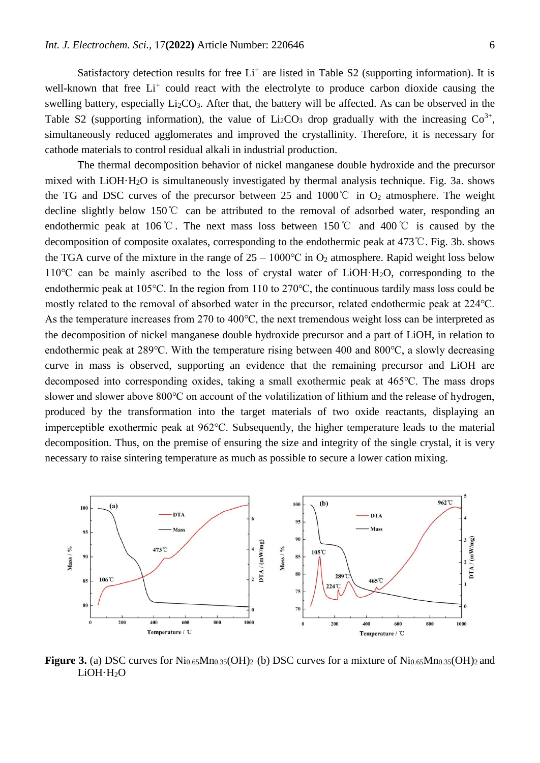Satisfactory detection results for free Li<sup>+</sup> are listed in Table S2 (supporting information). It is well-known that free Li<sup>+</sup> could react with the electrolyte to produce carbon dioxide causing the swelling battery, especially  $Li<sub>2</sub>CO<sub>3</sub>$ . After that, the battery will be affected. As can be observed in the Table S2 (supporting information), the value of Li<sub>2</sub>CO<sub>3</sub> drop gradually with the increasing  $Co^{3+}$ , simultaneously reduced agglomerates and improved the crystallinity. Therefore, it is necessary for cathode materials to control residual alkali in industrial production.

The thermal decomposition behavior of nickel manganese double hydroxide and the precursor mixed with LiOH·H2O is simultaneously investigated by thermal analysis technique. Fig. 3a. shows the TG and DSC curves of the precursor between 25 and 1000°C in  $O_2$  atmosphere. The weight decline slightly below 150℃ can be attributed to the removal of adsorbed water, responding an endothermic peak at 106℃. The next mass loss between 150℃ and 400℃ is caused by the decomposition of composite oxalates, corresponding to the endothermic peak at 473℃. Fig. 3b. shows the TGA curve of the mixture in the range of  $25 - 1000^{\circ}\text{C}$  in  $\text{O}_2$  atmosphere. Rapid weight loss below 110℃ can be mainly ascribed to the loss of crystal water of LiOH·H2O, corresponding to the endothermic peak at 105℃. In the region from 110 to 270℃, the continuous tardily mass loss could be mostly related to the removal of absorbed water in the precursor, related endothermic peak at 224℃. As the temperature increases from 270 to 400℃, the next tremendous weight loss can be interpreted as the decomposition of nickel manganese double hydroxide precursor and a part of LiOH, in relation to endothermic peak at 289℃. With the temperature rising between 400 and 800℃, a slowly decreasing curve in mass is observed, supporting an evidence that the remaining precursor and LiOH are decomposed into corresponding oxides, taking a small exothermic peak at 465℃. The mass drops slower and slower above 800℃ on account of the volatilization of lithium and the release of hydrogen, produced by the transformation into the target materials of two oxide reactants, displaying an imperceptible exothermic peak at 962℃. [Subsequently,](javascript:;) the higher temperature leads to the material decomposition. Thus, on the premise of ensuring the size and integrity of the single crystal, it is very necessary to raise sintering temperature as much as possible to secure a lower cation mixing.



**Figure 3.** (a) DSC curves for  $\text{Ni}_{0.65}\text{Mn}_{0.35}(\text{OH})_2$  (b) DSC curves for a mixture of  $\text{Ni}_{0.65}\text{Mn}_{0.35}(\text{OH})_2$  and  $LiOH·H<sub>2</sub>O$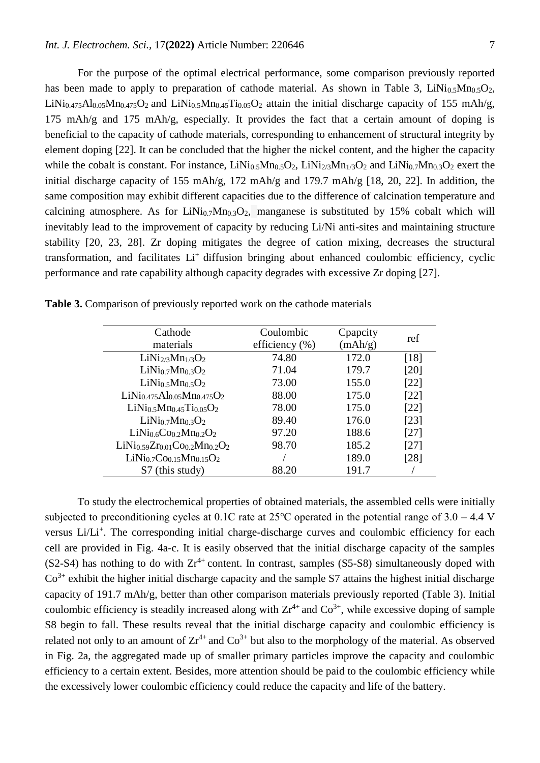For the purpose of the optimal electrical performance, some comparison previously reported has been made to apply to preparation of cathode material. As shown in Table 3,  $\text{LiNi}_{0.5}\text{Mn}_{0.5}\text{O}_2$ ,  $\text{LiNi}_{0.475}\text{Al}_{0.05}\text{Mn}_{0.475}\text{O}_2$  and  $\text{LiNi}_{0.5}\text{Mn}_{0.45}\text{Ti}_{0.05}\text{O}_2$  attain the initial discharge capacity of 155 mAh/g, 175 mAh/g and 175 mAh/g, especially. It provides the fact that a certain amount of doping is beneficial to the capacity of cathode materials, corresponding to enhancement of structural integrity by element doping [22]. It can be concluded that the higher the nickel content, and the higher the capacity while the cobalt is constant. For instance,  $LiNi<sub>0.5</sub>Mn<sub>0.5</sub>O<sub>2</sub>$ ,  $LiNi<sub>2/3</sub>Mn<sub>1/3</sub>O<sub>2</sub>$  and  $LiNi<sub>0.7</sub>Mn<sub>0.3</sub>O<sub>2</sub>$  exert the initial discharge capacity of 155 mAh/g, 172 mAh/g and 179.7 mAh/g [18, 20, 22]. In addition, the same composition may exhibit different capacities due to the difference of [calcination](javascript:;) [temperature](javascript:;) and calcining atmosphere. As for LiNi $_{0.7}Mn_{0.3}O_2$ , manganese is [substituted](javascript:;) by 15% cobalt which will inevitably lead to the improvement of capacity by reducing Li/Ni anti-sites and maintaining structure stability [20, 23, 28]. Zr doping mitigates the degree of cation mixing, decreases the structural transformation, and facilitates Li<sup>+</sup> diffusion bringing about enhanced coulombic efficiency, cyclic performance and rate capability although capacity degrades with excessive Zr doping [27].

| Cathode                                                                                    | Coulombic          | Cpapcity | ref  |
|--------------------------------------------------------------------------------------------|--------------------|----------|------|
| materials                                                                                  | efficiency $(\% )$ | (mAh/g)  |      |
| $LiNi2/3Mn1/3O2$                                                                           | 74.80              | 172.0    | [18] |
| $LiNi0.7Mn0.3O2$                                                                           | 71.04              | 179.7    | [20] |
| $LiNi0.5Mn0.5O2$                                                                           | 73.00              | 155.0    | [22] |
| $LiNi0.475Al0.05Mn0.475O2$                                                                 | 88.00              | 175.0    | [22] |
| $LiNi0.5Mn0.45Ti0.05O2$                                                                    | 78.00              | 175.0    | [22] |
| $LiNi0.7Mn0.3O2$                                                                           | 89.40              | 176.0    | [23] |
| $LiNi0.6Co0.2Mn0.2O2$                                                                      | 97.20              | 188.6    | [27] |
| LiNi <sub>0.59</sub> Zr <sub>0.01</sub> Co <sub>0.2</sub> Mn <sub>0.2</sub> O <sub>2</sub> | 98.70              | 185.2    | [27] |
| $LiNi0.7Co0.15Mn0.15O2$                                                                    |                    | 189.0    | [28] |
| S7 (this study)                                                                            | 88.20              | 191.7    |      |

**Table 3.** Comparison of previously reported work on the cathode materials

To study the electrochemical properties of obtained materials, the assembled cells were initially subjected to preconditioning cycles at 0.1C rate at  $25^{\circ}$ C operated in the potential range of  $3.0 - 4.4$  V versus Li/Li<sup>+</sup>. The corresponding initial charge-discharge curves and [coulombic](javascript:;) [efficiency](javascript:;) for each cell are provided in Fig. 4a-c. It is easily observed that the initial discharge capacity of the samples (S2-S4) has nothing to do with  $Zr^{4+}$  content. In contrast, samples (S5-S8) [simultaneously](javascript:;) doped with  $Co<sup>3+</sup>$  exhibit the higher initial discharge capacity and the sample S7 attains the highest initial discharge capacity of 191.7 mAh/g, better than other comparison materials previously reported (Table 3). Initial coulombic efficiency is steadily increased along with  $Zr^{4+}$  and  $Co^{3+}$ , while excessive doping of sample S8 begin to fall. These results reveal that the initial discharge capacity and coulombic efficiency is related not only to an amount of  $Zr^{4+}$  and  $Co^{3+}$  but also to the morphology of the material. As observed in Fig. 2a, the aggregated made up of smaller primary particles improve the capacity and coulombic efficiency to a certain extent. Besides, more attention should be paid to the coulombic efficiency while the [excessively](javascript:;) [lowe](javascript:;)r coulombic efficiency could reduce the capacity and life of the battery.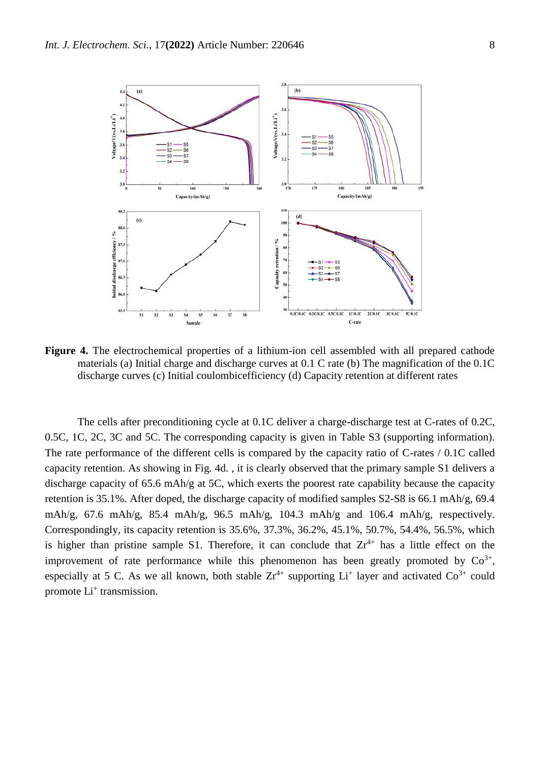

**Figure 4.** The electrochemical properties of a lithium-ion cell assembled with all prepared cathode materials (a) Initial charge and discharge curves at 0.1 C rate (b) The magnification of the 0.1C discharge curves (c) Initial [coulombicefficiency](javascript:;) (d) Capacity retention at different rates

The cells after preconditioning cycle at 0.1C deliver a charge-discharge test at C-rates of 0.2C, 0.5C, 1C, 2C, 3C and 5C. The corresponding capacity is given in Table S3 (supporting information). The rate performance of the different cells is compared by the capacity ratio of C-rates / 0.1C called capacity retention. As showing in Fig. 4d. , it is clearly observed that the primary sample S1 delivers a discharge capacity of 65.6 mAh/g at 5C, which exerts the poorest rate capability because the capacity retention is 35.1%. After doped, the discharge capacity of modified samples S2-S8 is 66.1 mAh/g, 69.4 mAh/g, 67.6 mAh/g, 85.4 mAh/g, 96.5 mAh/g, 104.3 mAh/g and 106.4 mAh/g, respectively. Correspondingly, its capacity retention is 35.6%, 37.3%, 36.2%, 45.1%, 50.7%, 54.4%, 56.5%, which is higher than pristine sample S1. Therefore, it can conclude that  $Zr^{4+}$  has a little effect on the improvement of rate performance while this phenomenon has been greatly promoted by  $Co^{3+}$ , especially at 5 C. As we all known, both stable  $Zr^{4+}$  supporting  $Li^{+}$  layer and activated  $Co^{3+}$  could promote Li<sup>+</sup> transmission.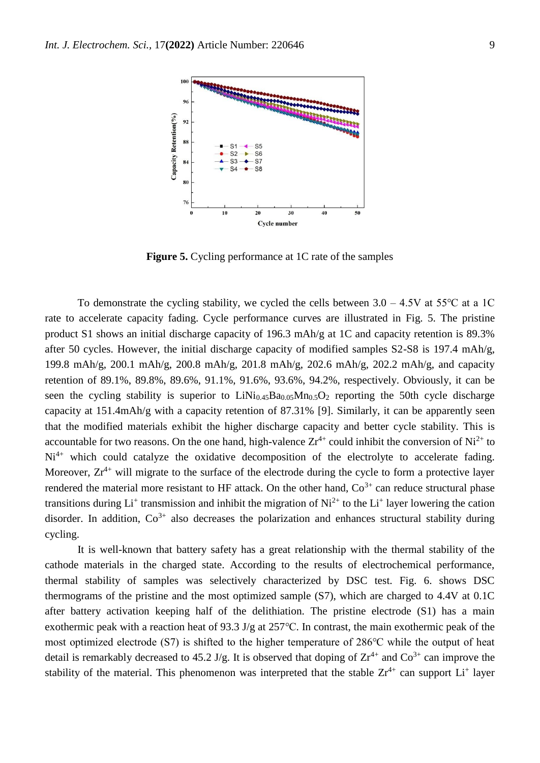

**Figure 5.** Cycling performance at 1C rate of the samples

To demonstrate the cycling stability, we cycled the cells between  $3.0 - 4.5V$  at  $55^{\circ}$ C at a 1C rate to accelerate capacity fading. Cycle performance curves are illustrated in Fig. 5. The pristine product S1 shows an initial discharge capacity of 196.3 mAh/g at 1C and capacity retention is 89.3% after 50 cycles. However, the initial discharge capacity of modified samples S2-S8 is 197.4 mAh/g, 199.8 mAh/g, 200.1 mAh/g, 200.8 mAh/g, 201.8 mAh/g, 202.6 mAh/g, 202.2 mAh/g, and capacity retention of 89.1%, 89.8%, 89.6%, 91.1%, 91.6%, 93.6%, 94.2%, respectively. Obviously, it can be seen the cycling stability is superior to  $LiNi<sub>0.45</sub>Ba<sub>0.05</sub>Mn<sub>0.5</sub>O<sub>2</sub>$  reporting the 50th cycle discharge capacity at 151.4mAh/g with a capacity retention of 87.31% [9]. Similarly, it can be apparently seen that the modified materials exhibit the higher discharge capacity and better cycle stability. This is accountable for two reasons. On the one hand, high-valence  $Zr^{4+}$  could inhibit the conversion of Ni<sup>2+</sup> to Ni<sup>4+</sup> which could catalyze the oxidative decomposition of the electrolyte to accelerate fading. Moreover,  $Zr^{4+}$  will migrate to the surface of the electrode during the cycle to form a protective layer rendered the material more resistant to HF attack. On the other hand,  $Co<sup>3+</sup>$  can reduce structural phase transitions during  $Li^+$  transmission and inhibit the migration of  $Ni^{2+}$  to the  $Li^+$  layer lowering the cation disorder. In addition,  $Co<sup>3+</sup>$  also decreases the polarization and enhances structural stability during cycling.

It is well-known that battery safety has a great relationship with the thermal stability of the cathode materials in the charged state. According to the results of electrochemical performance, thermal stability of samples was selectively characterized by DSC test. Fig. 6. shows DSC thermograms of the pristine and the most optimized sample (S7), which are charged to 4.4V at 0.1C after battery activation keeping half of the delithiation. The pristine electrode (S1) has a main exothermic peak with a reaction heat of 93.3 J/g at 257℃. In contrast, the main exothermic peak of the most optimized electrode (S7) is shifted to the higher temperature of 286℃ while the output of heat detail is remarkably decreased to 45.2 J/g. It is observed that doping of  $Zr^{4+}$  and  $Co^{3+}$  can improve the stability of the material. This phenomenon was [interpreted](javascript:;) that the stable  $Zr^{4+}$  can support Li<sup>+</sup> layer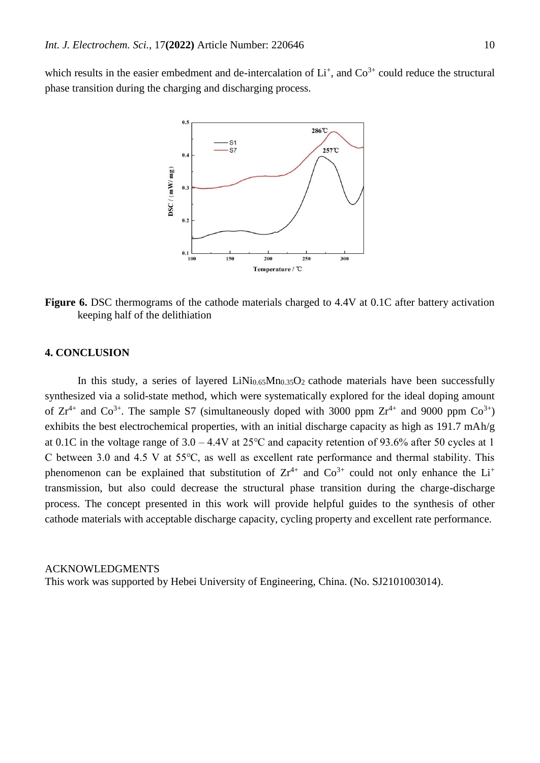which results in the easier embedment and de-intercalation of  $Li^+$ , and  $Co^{3+}$  could reduce the structural phase transition during the charging and discharging process.



**Figure 6.** DSC thermograms of the cathode materials charged to 4.4V at 0.1C after battery activation keeping half of the delithiation

# **4. CONCLUSION**

In this study, [a](javascript:;) [series](javascript:;) [of](javascript:;) layered  $LiNi<sub>0.65</sub>Mn<sub>0.35</sub>O<sub>2</sub>$  cathode materials have been successfully synthesized via a [solid-state](javascript:;) [method,](javascript:;) which were systematically explored for the ideal doping amount of  $Zr^{4+}$  and  $Co^{3+}$ . The sample S7 (simultaneously doped with 3000 ppm  $Zr^{4+}$  and 9000 ppm  $Co^{3+}$ ) exhibits the best electrochemical properties, with an initial discharge capacity as high as 191.7 mAh/g at 0.1C in the voltage range of 3.0 – 4.4V at 25℃ and capacity retention of 93.6% after 50 cycles at 1 C between 3.0 and 4.5 V at 55℃, as well as excellent rate performance and thermal stability. This phenomenon can be [explained](javascript:;) that substitution of  $Zr^{4+}$  and  $Co^{3+}$  could not only enhance the  $Li^{+}$ transmission, but also could decrease the structural phase transition during the charge-discharge process. The concept presented in this work will provide helpful guides to the synthesis of other cathode materials with acceptable discharge capacity, cycling property and excellent rate performance.

#### ACKNOWLEDGMENTS

This work was supported by Hebei University of Engineering, China. (No. SJ2101003014).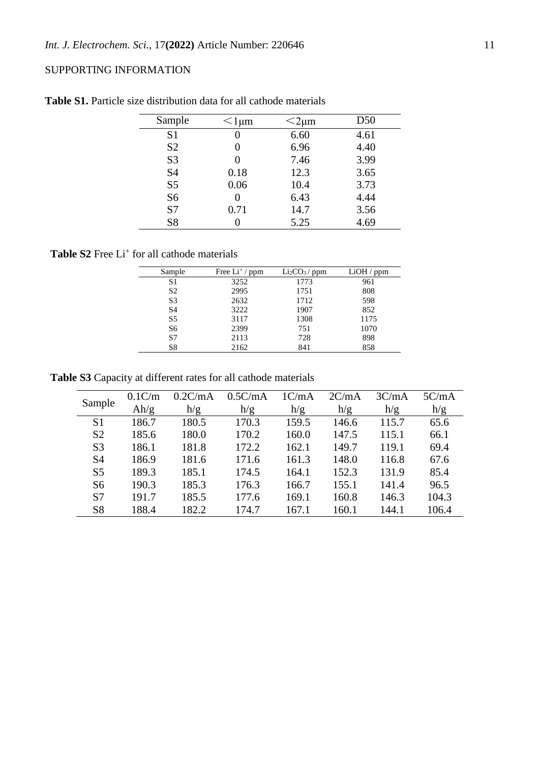# SUPPORTING INFORMATION

| Sample         | $<$ l $\mu$ m | $<$ 2µm | D50  |
|----------------|---------------|---------|------|
| S <sub>1</sub> |               | 6.60    | 4.61 |
| S <sub>2</sub> |               | 6.96    | 4.40 |
| S <sub>3</sub> | 0             | 7.46    | 3.99 |
| S <sub>4</sub> | 0.18          | 12.3    | 3.65 |
| S <sub>5</sub> | 0.06          | 10.4    | 3.73 |
| S <sub>6</sub> |               | 6.43    | 4.44 |
| S7             | 0.71          | 14.7    | 3.56 |
| S <sub>8</sub> |               | 5.25    | 4.69 |

**Table S1.** Particle size distribution data for all cathode materials

Table S2 Free Li<sup>+</sup> for all cathode materials

| Sample | Free $Li^{\dagger}$ / ppm | $Li2CO3$ ppm | LiOH<br>ppm |
|--------|---------------------------|--------------|-------------|
| S1     | 3252                      | 1773         | 961         |
| S2     | 2995                      | 1751         | 808         |
| S3     | 2632                      | 1712         | 598         |
| S4     | 3222                      | 1907         | 852         |
| S5     | 3117                      | 1308         | 1175        |
| S6     | 2399                      | 751          | 1070        |
| S7     | 2113                      | 728          | 898         |
| S8     | 2162                      | 841          | 858         |

**Table S3** Capacity at different rates for all cathode materials

| Sample         | 0.1C/m | 0.2C/mA | 0.5C/mA | 1C/mA | 2C/mA | 3C/mA | 5C/mA |
|----------------|--------|---------|---------|-------|-------|-------|-------|
|                | Ah/g   | h/g     | h/g     | h/g   | h/g   | h/g   | h/g   |
| S1             | 186.7  | 180.5   | 170.3   | 159.5 | 146.6 | 115.7 | 65.6  |
| S <sub>2</sub> | 185.6  | 180.0   | 170.2   | 160.0 | 147.5 | 115.1 | 66.1  |
| S <sub>3</sub> | 186.1  | 181.8   | 172.2   | 162.1 | 149.7 | 119.1 | 69.4  |
| S <sub>4</sub> | 186.9  | 181.6   | 171.6   | 161.3 | 148.0 | 116.8 | 67.6  |
| S <sub>5</sub> | 189.3  | 185.1   | 174.5   | 164.1 | 152.3 | 131.9 | 85.4  |
| S <sub>6</sub> | 190.3  | 185.3   | 176.3   | 166.7 | 155.1 | 141.4 | 96.5  |
| S7             | 191.7  | 185.5   | 177.6   | 169.1 | 160.8 | 146.3 | 104.3 |
| S <sub>8</sub> | 188.4  | 182.2   | 174.7   | 167.1 | 160.1 | 144.1 | 106.4 |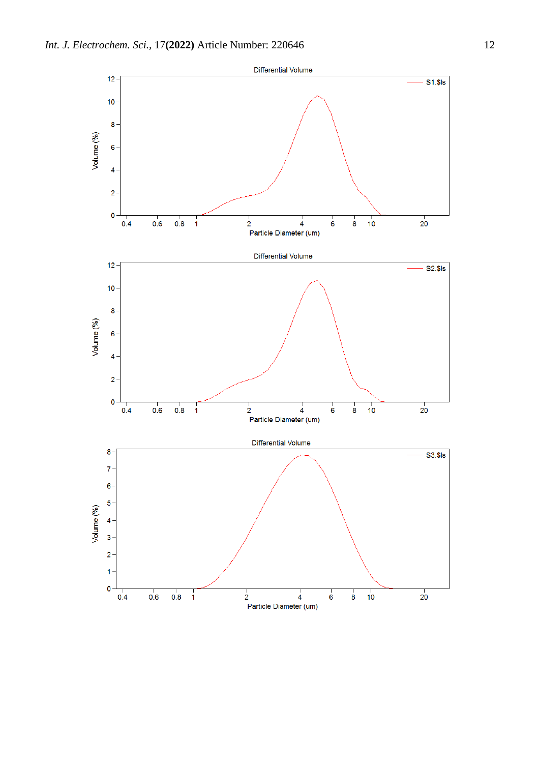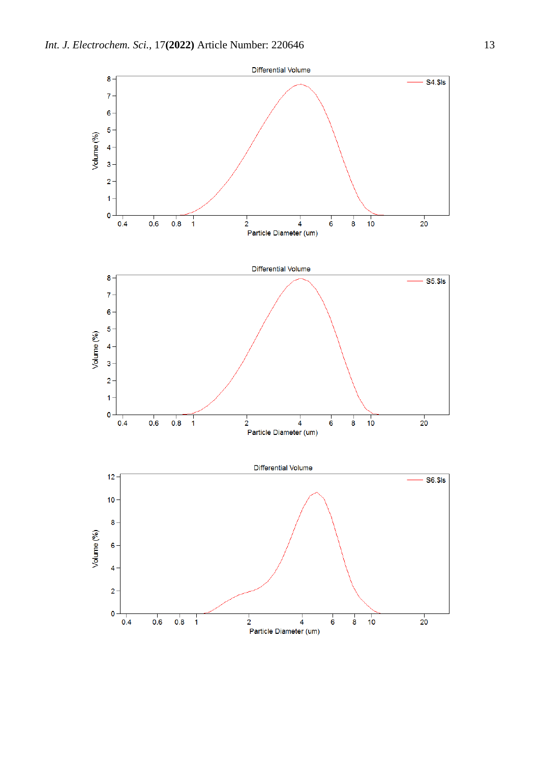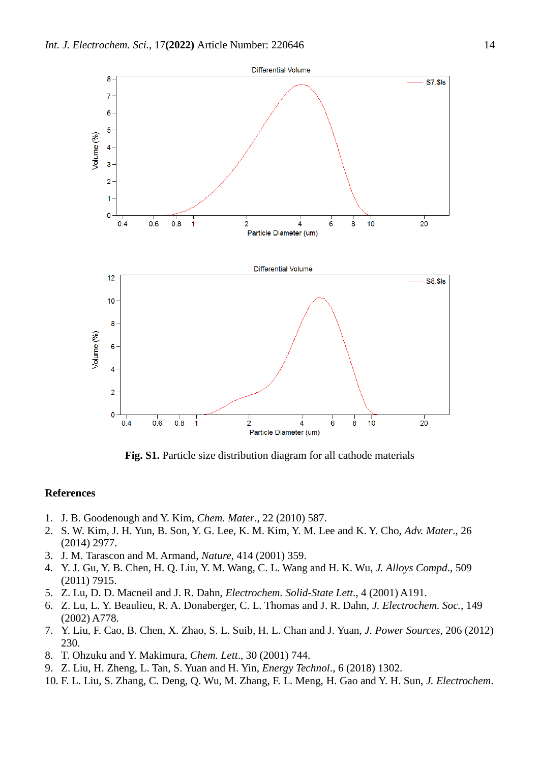

**Fig. S1.** Particle size distribution diagram for all cathode materials

## **References**

- 1. J. B. Goodenough and Y. Kim, *Chem. Mater*., 22 (2010) 587.
- 2. S. W. Kim, J. H. Yun, B. Son, Y. G. Lee, K. M. Kim, Y. M. Lee and K. Y. Cho, *Adv. Mater*., 26 (2014) 2977.
- 3. J. M. Tarascon and M. Armand, *Nature,* 414 (2001) 359.
- 4. Y. J. Gu, Y. B. Chen, H. Q. Liu, Y. M. Wang, C. L. Wang and H. K. Wu, *J. Alloys Compd*., 509 (2011) 7915.
- 5. Z. Lu, D. D. Macneil and J. R. Dahn, *Electrochem. Solid-State Lett*., 4 (2001) A191.
- 6. Z. Lu, L. Y. Beaulieu, R. A. Donaberger, C. L. Thomas and J. R. Dahn, *J. Electrochem. Soc.,* 149 (2002) A778.
- 7. Y. Liu, F. Cao, B. Chen, X. Zhao, S. L. Suib, H. L. Chan and J. Yuan, *J. Power Sources*, 206 (2012) 230.
- 8. T. Ohzuku and Y. Makimura, *Chem. Lett*., 30 (2001) 744.
- 9. Z. Liu, H. Zheng, L. Tan, S. Yuan and H. Yin, *Energy Technol*., 6 (2018) 1302.
- 10. F. L. Liu, S. Zhang, C. Deng, Q. Wu, M. Zhang, F. L. Meng, H. Gao and Y. H. Sun, *J. Electrochem*.